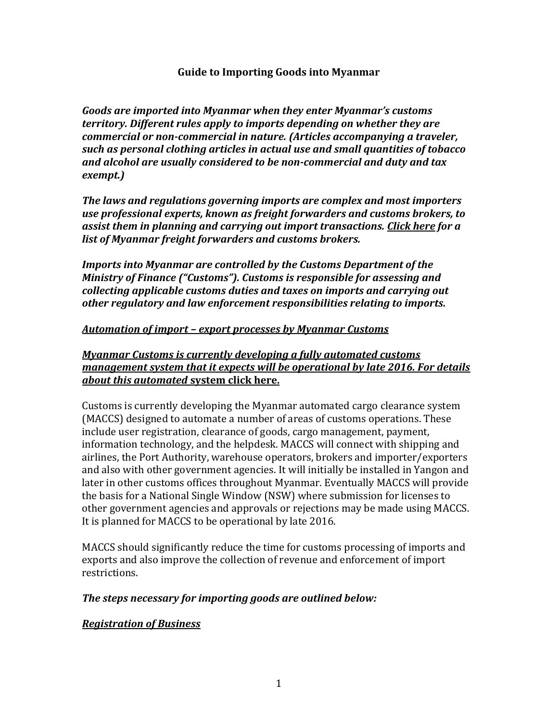#### **Guide to Importing Goods into Myanmar**

*Goods are imported into Myanmar when they enter Myanmar's customs territory. Different rules apply to imports depending on whether they are commercial or non-commercial in nature. (Articles accompanying a traveler, such as personal clothing articles in actual use and small quantities of tobacco and alcohol are usually considered to be non-commercial and duty and tax exempt.)*

*The laws and regulations governing imports are complex and most importers use professional experts, known as freight forwarders and customs brokers, to assist them in planning and carrying out import transactions. Click here for a list of Myanmar freight forwarders and customs brokers.*

*Imports into Myanmar are controlled by the Customs Department of the Ministry of Finance ("Customs"). Customs is responsible for assessing and collecting applicable customs duties and taxes on imports and carrying out other regulatory and law enforcement responsibilities relating to imports.* 

#### *Automation of import – export processes by Myanmar Customs*

*Myanmar Customs is currently developing a fully automated customs management system that it expects will be operational by late 2016. For details about this automated* **system click here.**

Customs is currently developing the Myanmar automated cargo clearance system (MACCS) designed to automate a number of areas of customs operations. These include user registration, clearance of goods, cargo management, payment, information technology, and the helpdesk. MACCS will connect with shipping and airlines, the Port Authority, warehouse operators, brokers and importer/exporters and also with other government agencies. It will initially be installed in Yangon and later in other customs offices throughout Myanmar. Eventually MACCS will provide the basis for a National Single Window (NSW) where submission for licenses to other government agencies and approvals or rejections may be made using MACCS. It is planned for MACCS to be operational by late 2016.

MACCS should significantly reduce the time for customs processing of imports and exports and also improve the collection of revenue and enforcement of import restrictions.

#### *The steps necessary for importing goods are outlined below:*

#### *Registration of Business*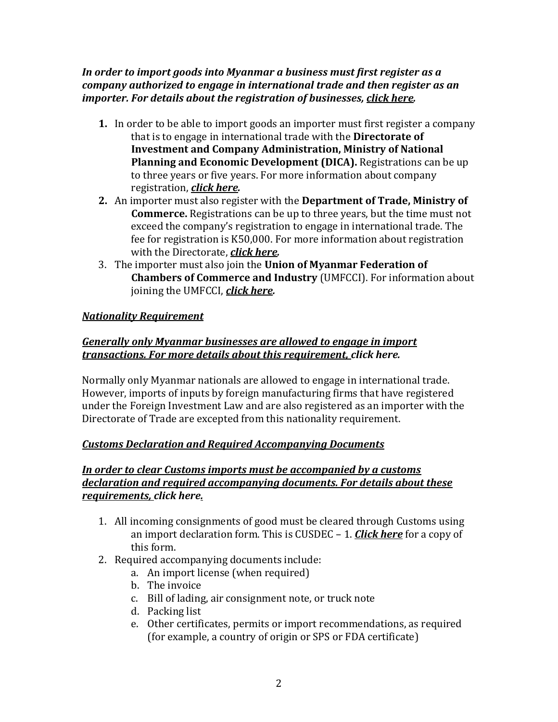### *In order to import goods into Myanmar a business must first register as a company authorized to engage in international trade and then register as an importer. For details about the registration of businesses, click here.*

- **1.** In order to be able to import goods an importer must first register a company that is to engage in international trade with the **Directorate of Investment and Company Administration, Ministry of National Planning and Economic Development (DICA).** Registrations can be up to three years or five years. For more information about company registration, *click here.*
- **2.** An importer must also register with the **Department of Trade, Ministry of Commerce.** Registrations can be up to three years, but the time must not exceed the company's registration to engage in international trade. The fee for registration is K50,000. For more information about registration with the Directorate, *click here.*
- 3. The importer must also join the **Union of Myanmar Federation of Chambers of Commerce and Industry** (UMFCCI). For information about joining the UMFCCI, *click here.*

# *Nationality Requirement*

# *Generally only Myanmar businesses are allowed to engage in import transactions. For more details about this requirement, click here.*

Normally only Myanmar nationals are allowed to engage in international trade. However, imports of inputs by foreign manufacturing firms that have registered under the Foreign Investment Law and are also registered as an importer with the Directorate of Trade are excepted from this nationality requirement.

## *Customs Declaration and Required Accompanying Documents*

### *In order to clear Customs imports must be accompanied by a customs declaration and required accompanying documents. For details about these requirements, click here.*

- 1. All incoming consignments of good must be cleared through Customs using an import declaration form. This is CUSDEC – 1. *Click here* for a copy of this form.
- 2. Required accompanying documents include:
	- a. An import license (when required)
	- b. The invoice
	- c. Bill of lading, air consignment note, or truck note
	- d. Packing list
	- e. Other certificates, permits or import recommendations, as required (for example, a country of origin or SPS or FDA certificate)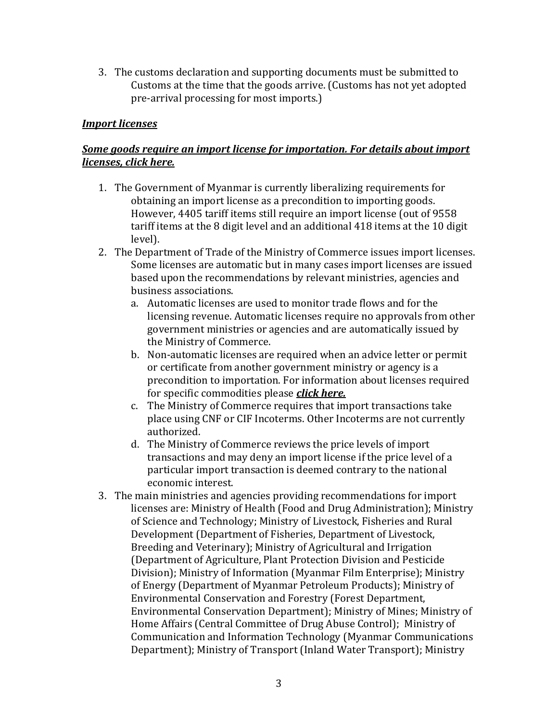3. The customs declaration and supporting documents must be submitted to Customs at the time that the goods arrive. (Customs has not yet adopted pre-arrival processing for most imports.)

### *Import licenses*

## *Some goods require an import license for importation. For details about import licenses, click here.*

- 1. The Government of Myanmar is currently liberalizing requirements for obtaining an import license as a precondition to importing goods. However, 4405 tariff items still require an import license (out of 9558 tariff items at the 8 digit level and an additional 418 items at the 10 digit level).
- 2. The Department of Trade of the Ministry of Commerce issues import licenses. Some licenses are automatic but in many cases import licenses are issued based upon the recommendations by relevant ministries, agencies and business associations.
	- a. Automatic licenses are used to monitor trade flows and for the licensing revenue. Automatic licenses require no approvals from other government ministries or agencies and are automatically issued by the Ministry of Commerce.
	- b. Non-automatic licenses are required when an advice letter or permit or certificate from another government ministry or agency is a precondition to importation. For information about licenses required for specific commodities please *click here.*
	- c. The Ministry of Commerce requires that import transactions take place using CNF or CIF Incoterms. Other Incoterms are not currently authorized.
	- d. The Ministry of Commerce reviews the price levels of import transactions and may deny an import license if the price level of a particular import transaction is deemed contrary to the national economic interest.
- 3. The main ministries and agencies providing recommendations for import licenses are: Ministry of Health (Food and Drug Administration); Ministry of Science and Technology; Ministry of Livestock, Fisheries and Rural Development (Department of Fisheries, Department of Livestock, Breeding and Veterinary); Ministry of Agricultural and Irrigation (Department of Agriculture, Plant Protection Division and Pesticide Division); Ministry of Information (Myanmar Film Enterprise); Ministry of Energy (Department of Myanmar Petroleum Products); Ministry of Environmental Conservation and Forestry (Forest Department, Environmental Conservation Department); Ministry of Mines; Ministry of Home Affairs (Central Committee of Drug Abuse Control); Ministry of Communication and Information Technology (Myanmar Communications Department); Ministry of Transport (Inland Water Transport); Ministry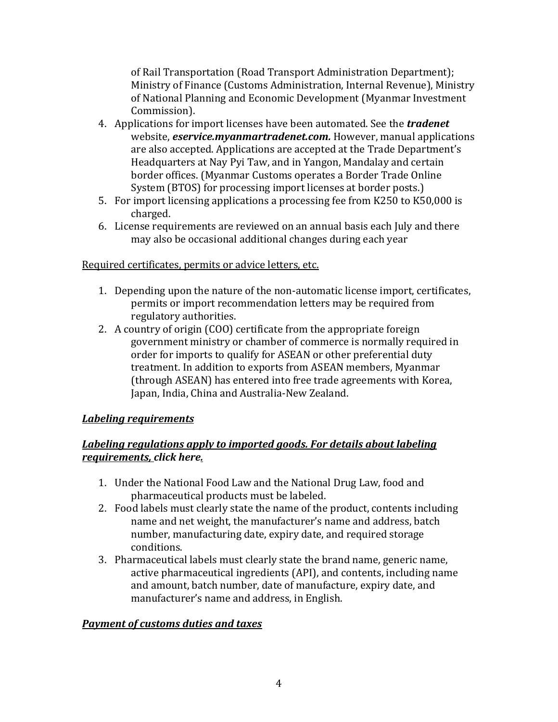of Rail Transportation (Road Transport Administration Department); Ministry of Finance (Customs Administration, Internal Revenue), Ministry of National Planning and Economic Development (Myanmar Investment Commission).

- 4. Applications for import licenses have been automated. See the *tradenet* website, *eservice.myanmartradenet.com.* However, manual applications are also accepted. Applications are accepted at the Trade Department's Headquarters at Nay Pyi Taw, and in Yangon, Mandalay and certain border offices. (Myanmar Customs operates a Border Trade Online System (BTOS) for processing import licenses at border posts.)
- 5. For import licensing applications a processing fee from K250 to K50,000 is charged.
- 6. License requirements are reviewed on an annual basis each July and there may also be occasional additional changes during each year

## Required certificates, permits or advice letters, etc.

- 1. Depending upon the nature of the non-automatic license import, certificates, permits or import recommendation letters may be required from regulatory authorities.
- 2. A country of origin (COO) certificate from the appropriate foreign government ministry or chamber of commerce is normally required in order for imports to qualify for ASEAN or other preferential duty treatment. In addition to exports from ASEAN members, Myanmar (through ASEAN) has entered into free trade agreements with Korea, Japan, India, China and Australia-New Zealand.

## *Labeling requirements*

### *Labeling regulations apply to imported goods. For details about labeling requirements, click here.*

- 1. Under the National Food Law and the National Drug Law, food and pharmaceutical products must be labeled.
- 2. Food labels must clearly state the name of the product, contents including name and net weight, the manufacturer's name and address, batch number, manufacturing date, expiry date, and required storage conditions.
- 3. Pharmaceutical labels must clearly state the brand name, generic name, active pharmaceutical ingredients (API), and contents, including name and amount, batch number, date of manufacture, expiry date, and manufacturer's name and address, in English.

#### *Payment of customs duties and taxes*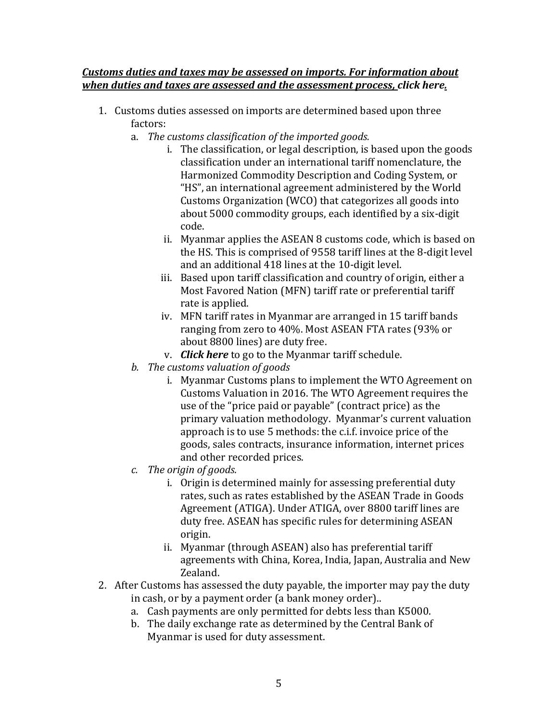#### *Customs duties and taxes may be assessed on imports. For information about when duties and taxes are assessed and the assessment process, click here.*

- 1. Customs duties assessed on imports are determined based upon three factors:
	- a. *The customs classification of the imported goods.*
		- i. The classification, or legal description, is based upon the goods classification under an international tariff nomenclature, the Harmonized Commodity Description and Coding System, or "HS", an international agreement administered by the World Customs Organization (WCO) that categorizes all goods into about 5000 commodity groups, each identified by a six-digit code.
		- ii. Myanmar applies the ASEAN 8 customs code, which is based on the HS. This is comprised of 9558 tariff lines at the 8-digit level and an additional 418 lines at the 10-digit level.
		- iii. Based upon tariff classification and country of origin, either a Most Favored Nation (MFN) tariff rate or preferential tariff rate is applied.
		- iv. MFN tariff rates in Myanmar are arranged in 15 tariff bands ranging from zero to 40%. Most ASEAN FTA rates (93% or about 8800 lines) are duty free.
		- v. *Click here* to go to the Myanmar tariff schedule.
	- *b. The customs valuation of goods*
		- i. Myanmar Customs plans to implement the WTO Agreement on Customs Valuation in 2016. The WTO Agreement requires the use of the "price paid or payable" (contract price) as the primary valuation methodology. Myanmar's current valuation approach is to use 5 methods: the c.i.f. invoice price of the goods, sales contracts, insurance information, internet prices and other recorded prices.
	- *c. The origin of goods.*
		- i. Origin is determined mainly for assessing preferential duty rates, such as rates established by the ASEAN Trade in Goods Agreement (ATIGA). Under ATIGA, over 8800 tariff lines are duty free. ASEAN has specific rules for determining ASEAN origin.
		- ii. Myanmar (through ASEAN) also has preferential tariff agreements with China, Korea, India, Japan, Australia and New Zealand.
- 2. After Customs has assessed the duty payable, the importer may pay the duty in cash, or by a payment order (a bank money order)..
	- a. Cash payments are only permitted for debts less than K5000.
	- b. The daily exchange rate as determined by the Central Bank of Myanmar is used for duty assessment.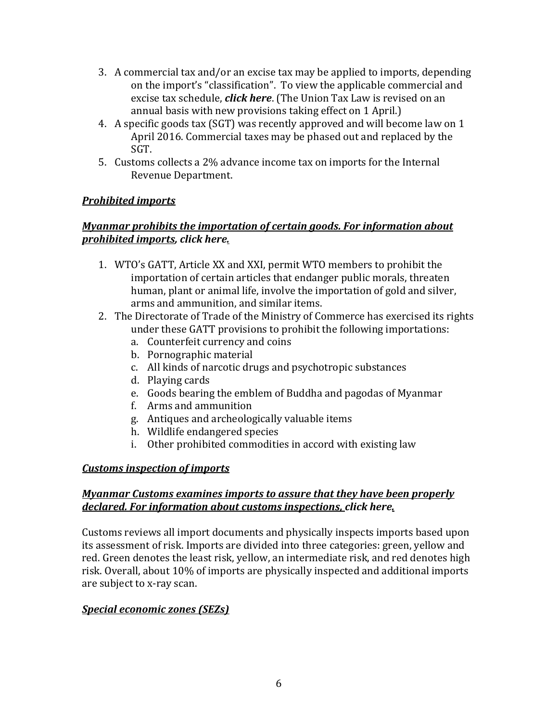- 3. A commercial tax and/or an excise tax may be applied to imports, depending on the import's "classification". To view the applicable commercial and excise tax schedule, *click here*. (The Union Tax Law is revised on an annual basis with new provisions taking effect on 1 April.)
- 4. A specific goods tax (SGT) was recently approved and will become law on 1 April 2016. Commercial taxes may be phased out and replaced by the SGT.
- 5. Customs collects a 2% advance income tax on imports for the Internal Revenue Department.

# *Prohibited imports*

## *Myanmar prohibits the importation of certain goods. For information about prohibited imports, click here.*

- 1. WTO's GATT, Article XX and XXI, permit WTO members to prohibit the importation of certain articles that endanger public morals, threaten human, plant or animal life, involve the importation of gold and silver, arms and ammunition, and similar items.
- 2. The Directorate of Trade of the Ministry of Commerce has exercised its rights under these GATT provisions to prohibit the following importations:
	- a. Counterfeit currency and coins
	- b. Pornographic material
	- c. All kinds of narcotic drugs and psychotropic substances
	- d. Playing cards
	- e. Goods bearing the emblem of Buddha and pagodas of Myanmar
	- f. Arms and ammunition
	- g. Antiques and archeologically valuable items
	- h. Wildlife endangered species
	- i. Other prohibited commodities in accord with existing law

## *Customs inspection of imports*

### *Myanmar Customs examines imports to assure that they have been properly declared. For information about customs inspections, click here.*

Customs reviews all import documents and physically inspects imports based upon its assessment of risk. Imports are divided into three categories: green, yellow and red. Green denotes the least risk, yellow, an intermediate risk, and red denotes high risk. Overall, about 10% of imports are physically inspected and additional imports are subject to x-ray scan.

## *Special economic zones (SEZs)*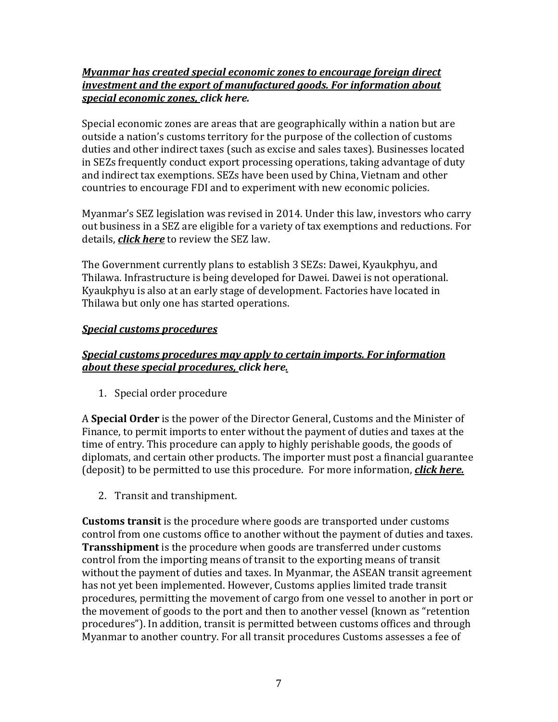### *Myanmar has created special economic zones to encourage foreign direct investment and the export of manufactured goods. For information about special economic zones, click here.*

Special economic zones are areas that are geographically within a nation but are outside a nation's customs territory for the purpose of the collection of customs duties and other indirect taxes (such as excise and sales taxes). Businesses located in SEZs frequently conduct export processing operations, taking advantage of duty and indirect tax exemptions. SEZs have been used by China, Vietnam and other countries to encourage FDI and to experiment with new economic policies.

Myanmar's SEZ legislation was revised in 2014. Under this law, investors who carry out business in a SEZ are eligible for a variety of tax exemptions and reductions. For details, *click here* to review the SEZ law.

The Government currently plans to establish 3 SEZs: Dawei, Kyaukphyu, and Thilawa. Infrastructure is being developed for Dawei. Dawei is not operational. Kyaukphyu is also at an early stage of development. Factories have located in Thilawa but only one has started operations.

# *Special customs procedures*

## *Special customs procedures may apply to certain imports. For information about these special procedures, click here.*

1. Special order procedure

A **Special Order** is the power of the Director General, Customs and the Minister of Finance, to permit imports to enter without the payment of duties and taxes at the time of entry. This procedure can apply to highly perishable goods, the goods of diplomats, and certain other products. The importer must post a financial guarantee (deposit) to be permitted to use this procedure. For more information, *click here.*

2. Transit and transhipment.

**Customs transit** is the procedure where goods are transported under customs control from one customs office to another without the payment of duties and taxes. **Transshipment** is the procedure when goods are transferred under customs control from the importing means of transit to the exporting means of transit without the payment of duties and taxes. In Myanmar, the ASEAN transit agreement has not yet been implemented. However, Customs applies limited trade transit procedures, permitting the movement of cargo from one vessel to another in port or the movement of goods to the port and then to another vessel (known as "retention procedures"). In addition, transit is permitted between customs offices and through Myanmar to another country. For all transit procedures Customs assesses a fee of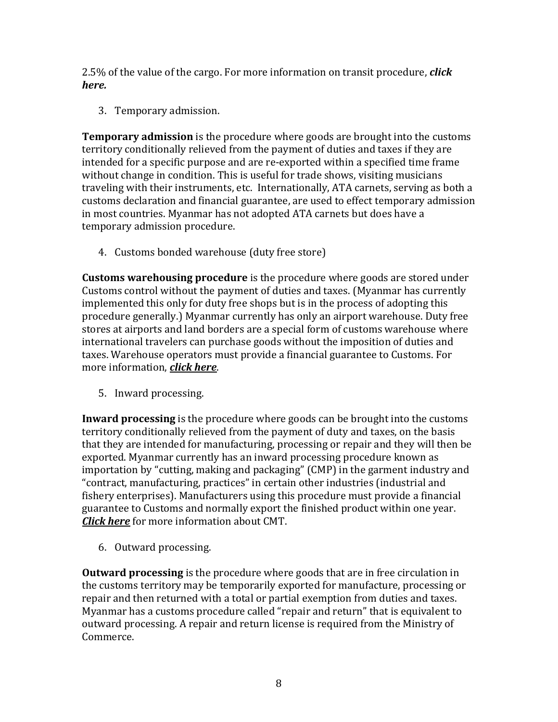2.5% of the value of the cargo. For more information on transit procedure, *click here.*

3. Temporary admission.

**Temporary admission** is the procedure where goods are brought into the customs territory conditionally relieved from the payment of duties and taxes if they are intended for a specific purpose and are re-exported within a specified time frame without change in condition. This is useful for trade shows, visiting musicians traveling with their instruments, etc. Internationally, ATA carnets, serving as both a customs declaration and financial guarantee, are used to effect temporary admission in most countries. Myanmar has not adopted ATA carnets but does have a temporary admission procedure.

4. Customs bonded warehouse (duty free store)

**Customs warehousing procedure** is the procedure where goods are stored under Customs control without the payment of duties and taxes. (Myanmar has currently implemented this only for duty free shops but is in the process of adopting this procedure generally.) Myanmar currently has only an airport warehouse. Duty free stores at airports and land borders are a special form of customs warehouse where international travelers can purchase goods without the imposition of duties and taxes. Warehouse operators must provide a financial guarantee to Customs. For more information, *click here*.

5. Inward processing.

**Inward processing** is the procedure where goods can be brought into the customs territory conditionally relieved from the payment of duty and taxes, on the basis that they are intended for manufacturing, processing or repair and they will then be exported. Myanmar currently has an inward processing procedure known as importation by "cutting, making and packaging" (CMP) in the garment industry and "contract, manufacturing, practices" in certain other industries (industrial and fishery enterprises). Manufacturers using this procedure must provide a financial guarantee to Customs and normally export the finished product within one year. *Click here* for more information about CMT.

6. Outward processing.

**Outward processing** is the procedure where goods that are in free circulation in the customs territory may be temporarily exported for manufacture, processing or repair and then returned with a total or partial exemption from duties and taxes. Myanmar has a customs procedure called "repair and return" that is equivalent to outward processing. A repair and return license is required from the Ministry of Commerce.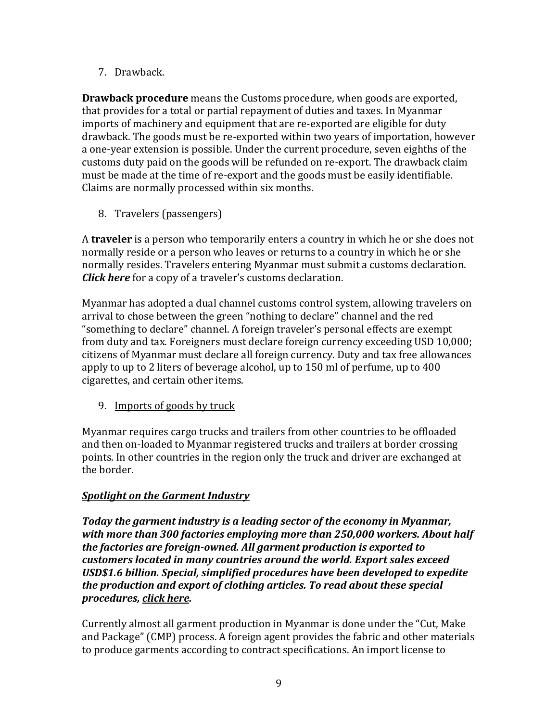7. Drawback.

**Drawback procedure** means the Customs procedure, when goods are exported, that provides for a total or partial repayment of duties and taxes. In Myanmar imports of machinery and equipment that are re-exported are eligible for duty drawback. The goods must be re-exported within two years of importation, however a one-year extension is possible. Under the current procedure, seven eighths of the customs duty paid on the goods will be refunded on re-export. The drawback claim must be made at the time of re-export and the goods must be easily identifiable. Claims are normally processed within six months.

8. Travelers (passengers)

A **traveler** is a person who temporarily enters a country in which he or she does not normally reside or a person who leaves or returns to a country in which he or she normally resides. Travelers entering Myanmar must submit a customs declaration. *Click here* for a copy of a traveler's customs declaration.

Myanmar has adopted a dual channel customs control system, allowing travelers on arrival to chose between the green "nothing to declare" channel and the red "something to declare" channel. A foreign traveler's personal effects are exempt from duty and tax. Foreigners must declare foreign currency exceeding USD 10,000; citizens of Myanmar must declare all foreign currency. Duty and tax free allowances apply to up to 2 liters of beverage alcohol, up to 150 ml of perfume, up to 400 cigarettes, and certain other items.

9. Imports of goods by truck

Myanmar requires cargo trucks and trailers from other countries to be offloaded and then on-loaded to Myanmar registered trucks and trailers at border crossing points. In other countries in the region only the truck and driver are exchanged at the border.

# *Spotlight on the Garment Industry*

*Today the garment industry is a leading sector of the economy in Myanmar, with more than 300 factories employing more than 250,000 workers. About half the factories are foreign-owned. All garment production is exported to customers located in many countries around the world. Export sales exceed USD\$1.6 billion. Special, simplified procedures have been developed to expedite the production and export of clothing articles. To read about these special procedures, click here.*

Currently almost all garment production in Myanmar is done under the "Cut, Make and Package" (CMP) process. A foreign agent provides the fabric and other materials to produce garments according to contract specifications. An import license to